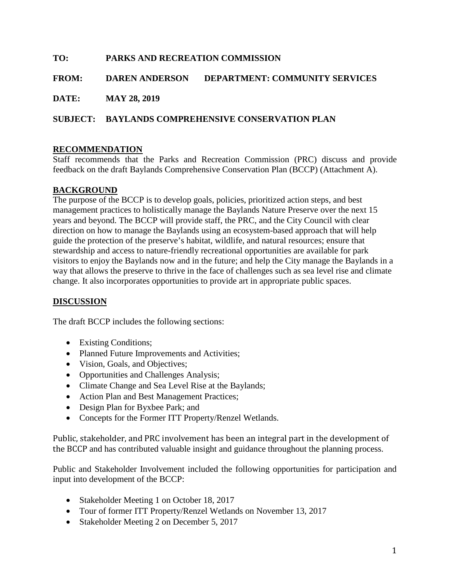# **TO: PARKS AND RECREATION COMMISSION**

#### **FROM: DAREN ANDERSON DEPARTMENT: COMMUNITY SERVICES**

**DATE: MAY 28, 2019**

### **SUBJECT: BAYLANDS COMPREHENSIVE CONSERVATION PLAN**

#### **RECOMMENDATION**

Staff recommends that the Parks and Recreation Commission (PRC) discuss and provide feedback on the draft Baylands Comprehensive Conservation Plan (BCCP) (Attachment A).

#### **BACKGROUND**

The purpose of the BCCP is to develop goals, policies, prioritized action steps, and best management practices to holistically manage the Baylands Nature Preserve over the next 15 years and beyond. The BCCP will provide staff, the PRC, and the City Council with clear direction on how to manage the Baylands using an ecosystem-based approach that will help guide the protection of the preserve's habitat, wildlife, and natural resources; ensure that stewardship and access to nature-friendly recreational opportunities are available for park visitors to enjoy the Baylands now and in the future; and help the City manage the Baylands in a way that allows the preserve to thrive in the face of challenges such as sea level rise and climate change. It also incorporates opportunities to provide art in appropriate public spaces.

#### **DISCUSSION**

The draft BCCP includes the following sections:

- Existing Conditions;
- Planned Future Improvements and Activities;
- Vision, Goals, and Objectives;
- Opportunities and Challenges Analysis;
- Climate Change and Sea Level Rise at the Baylands;
- Action Plan and Best Management Practices;
- Design Plan for Byxbee Park; and
- Concepts for the Former ITT Property/Renzel Wetlands.

Public, stakeholder, and PRC involvement has been an integral part in the development of the BCCP and has contributed valuable insight and guidance throughout the planning process.

Public and Stakeholder Involvement included the following opportunities for participation and input into development of the BCCP:

- Stakeholder Meeting 1 on October 18, 2017
- Tour of former ITT Property/Renzel Wetlands on November 13, 2017
- Stakeholder Meeting 2 on December 5, 2017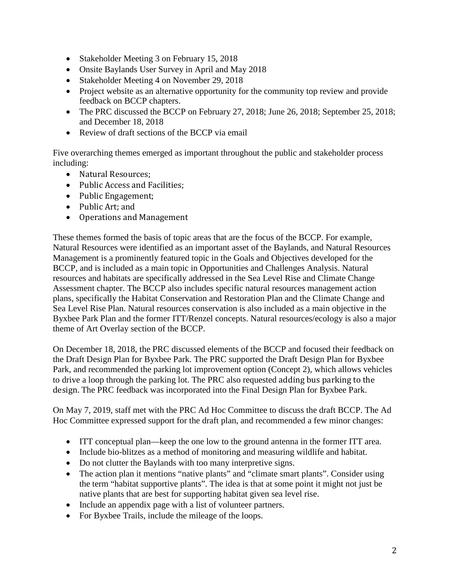- Stakeholder Meeting 3 on February 15, 2018
- Onsite Baylands User Survey in April and May 2018
- Stakeholder Meeting 4 on November 29, 2018
- Project website as an alternative opportunity for the community top review and provide feedback on BCCP chapters.
- The PRC discussed the BCCP on February 27, 2018; June 26, 2018; September 25, 2018; and December 18, 2018
- Review of draft sections of the BCCP via email

Five overarching themes emerged as important throughout the public and stakeholder process including:

- Natural Resources;
- Public Access and Facilities;
- Public Engagement;
- Public Art; and
- Operations and Management

These themes formed the basis of topic areas that are the focus of the BCCP. For example, Natural Resources were identified as an important asset of the Baylands, and Natural Resources Management is a prominently featured topic in the Goals and Objectives developed for the BCCP, and is included as a main topic in Opportunities and Challenges Analysis. Natural resources and habitats are specifically addressed in the Sea Level Rise and Climate Change Assessment chapter. The BCCP also includes specific natural resources management action plans, specifically the Habitat Conservation and Restoration Plan and the Climate Change and Sea Level Rise Plan. Natural resources conservation is also included as a main objective in the Byxbee Park Plan and the former ITT/Renzel concepts. Natural resources/ecology is also a major theme of Art Overlay section of the BCCP.

On December 18, 2018, the PRC discussed elements of the BCCP and focused their feedback on the Draft Design Plan for Byxbee Park. The PRC supported the Draft Design Plan for Byxbee Park, and recommended the parking lot improvement option (Concept 2), which allows vehicles to drive a loop through the parking lot. The PRC also requested adding bus parking to the design. The PRC feedback was incorporated into the Final Design Plan for Byxbee Park.

On May 7, 2019, staff met with the PRC Ad Hoc Committee to discuss the draft BCCP. The Ad Hoc Committee expressed support for the draft plan, and recommended a few minor changes:

- ITT conceptual plan—keep the one low to the ground antenna in the former ITT area.
- Include bio-blitzes as a method of monitoring and measuring wildlife and habitat.
- Do not clutter the Baylands with too many interpretive signs.
- The action plan it mentions "native plants" and "climate smart plants". Consider using the term "habitat supportive plants". The idea is that at some point it might not just be native plants that are best for supporting habitat given sea level rise.
- Include an appendix page with a list of volunteer partners.
- For Byxbee Trails, include the mileage of the loops.